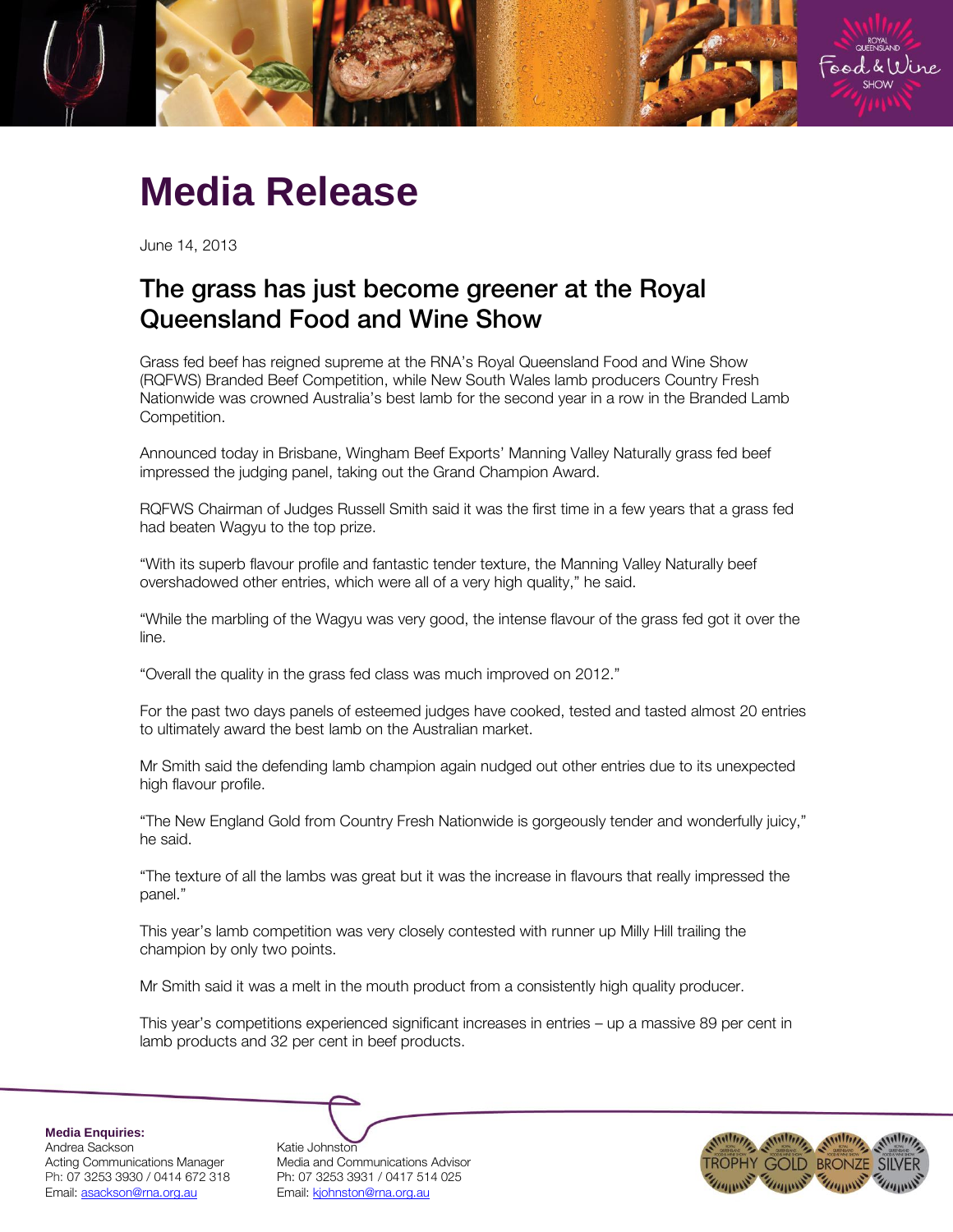

## **Media Release**

June 14, 2013

## The grass has just become greener at the Royal<br>Queensland Food and Wine Show Queensland Food and Wine Show

Grass fed beef has reigned supreme at the RNA's Royal Queensland Food and Wine Show (RQFWS) Branded Beef Competition, while New South Wales lamb producers Country Fresh Nationwide was crowned Australia's best lamb for the second year in a row in the Branded Lamb Competition.

Announced today in Brisbane, Wingham Beef Exports' Manning Valley Naturally grass fed beef impressed the judging panel, taking out the Grand Champion Award.

RQFWS Chairman of Judges Russell Smith said it was the first time in a few years that a grass fed had beaten Wagyu to the top prize.

"With its superb flavour profile and fantastic tender texture, the Manning Valley Naturally beef overshadowed other entries, which were all of a very high quality," he said.

"While the marbling of the Wagyu was very good, the intense flavour of the grass fed got it over the line.

"Overall the quality in the grass fed class was much improved on 2012."

For the past two days panels of esteemed judges have cooked, tested and tasted almost 20 entries to ultimately award the best lamb on the Australian market.

Mr Smith said the defending lamb champion again nudged out other entries due to its unexpected high flavour profile.

"The New England Gold from Country Fresh Nationwide is gorgeously tender and wonderfully juicy," he said.

"The texture of all the lambs was great but it was the increase in flavours that really impressed the panel."

This year's lamb competition was very closely contested with runner up Milly Hill trailing the champion by only two points.

Mr Smith said it was a melt in the mouth product from a consistently high quality producer.

This year's competitions experienced significant increases in entries – up a massive 89 per cent in lamb products and 32 per cent in beef products.

**Media Enquiries:**

Andrea Sackson and Katie Johnston<br>Acting Communications Manager Media and Cor Ph: 07 3253 3930 / 0414 672 318 Ph: 07 3253 3931 / 0417 514 025 Email: asackson@rna.org.au Email: kjohnston@rna.org.au

Media and Communications Advisor